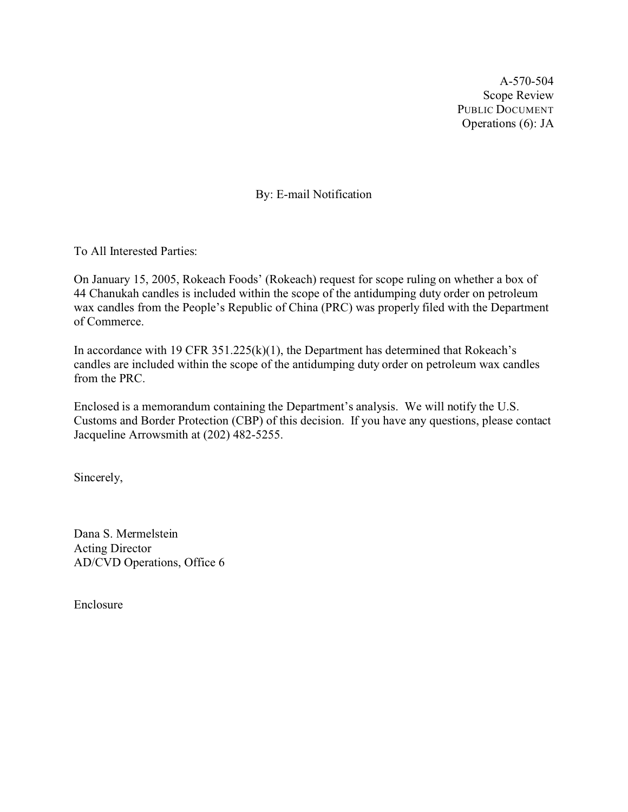A-570-504 Scope Review PUBLIC DOCUMENT Operations (6): JA

By: E-mail Notification

To All Interested Parties:

On January 15, 2005, Rokeach Foods' (Rokeach) request for scope ruling on whether a box of 44 Chanukah candles is included within the scope of the antidumping duty order on petroleum wax candles from the People's Republic of China (PRC) was properly filed with the Department of Commerce.

In accordance with 19 CFR  $351.225(k)(1)$ , the Department has determined that Rokeach's candles are included within the scope of the antidumping duty order on petroleum wax candles from the PRC.

Enclosed is a memorandum containing the Department's analysis. We will notify the U.S. Customs and Border Protection (CBP) of this decision. If you have any questions, please contact Jacqueline Arrowsmith at (202) 482-5255.

Sincerely,

Dana S. Mermelstein Acting Director AD/CVD Operations, Office 6

Enclosure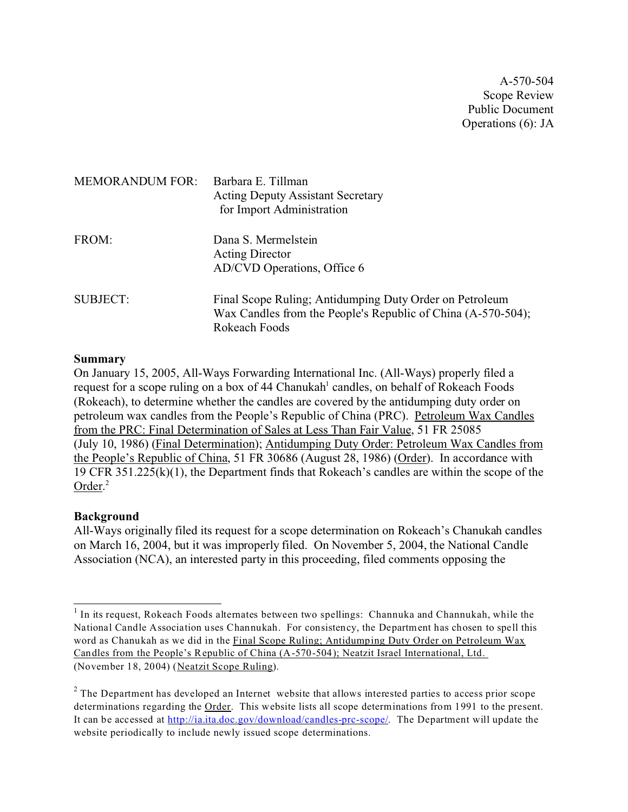A-570-504 Scope Review Public Document Operations (6): JA

| <b>MEMORANDUM FOR:</b> | Barbara E. Tillman<br><b>Acting Deputy Assistant Secretary</b><br>for Import Administration                                              |
|------------------------|------------------------------------------------------------------------------------------------------------------------------------------|
| FROM:                  | Dana S. Mermelstein<br><b>Acting Director</b><br>AD/CVD Operations, Office 6                                                             |
| <b>SUBJECT:</b>        | Final Scope Ruling; Antidumping Duty Order on Petroleum<br>Wax Candles from the People's Republic of China (A-570-504);<br>Rokeach Foods |

### **Summary**

On January 15, 2005, All-Ways Forwarding International Inc. (All-Ways) properly filed a request for a scope ruling on a box of 44 Chanukah<sup>1</sup> candles, on behalf of Rokeach Foods (Rokeach), to determine whether the candles are covered by the antidumping duty order on petroleum wax candles from the People's Republic of China (PRC). Petroleum Wax Candles from the PRC: Final Determination of Sales at Less Than Fair Value, 51 FR 25085 (July 10, 1986) (Final Determination); Antidumping Duty Order: Petroleum Wax Candles from the People's Republic of China, 51 FR 30686 (August 28, 1986) (Order). In accordance with 19 CFR 351.225(k)(1), the Department finds that Rokeach's candles are within the scope of the Order.<sup>2</sup>

# **Background**

All-Ways originally filed its request for a scope determination on Rokeach's Chanukah candles on March 16, 2004, but it was improperly filed. On November 5, 2004, the National Candle Association (NCA), an interested party in this proceeding, filed comments opposing the

 $<sup>1</sup>$  In its request, Rokeach Foods alternates between two spellings: Channuka and Channukah, while the</sup> National Candle Association uses Channukah. For consistency, the Department has chosen to spell this word as Chanukah as we did in the Final Scope Ruling; Antidumping Duty Order on Petroleum Wax Candles from the People's Republic of China (A-570-504); Neatzit Israel International, Ltd. (November 18, 2004) (Neatzit Scope Ruling).

 $2$  The Department has developed an Internet website that allows interested parties to access prior scope determinations regarding the Order. This website lists all scope determinations from 1991 to the present. It can be accessed at [http://ia.ita.doc.gov/download/candles-prc-scope/](http://ia.ita.doc.gov/download/candles-prc-scope/.). The Department will update the website periodically to include newly issued scope determinations.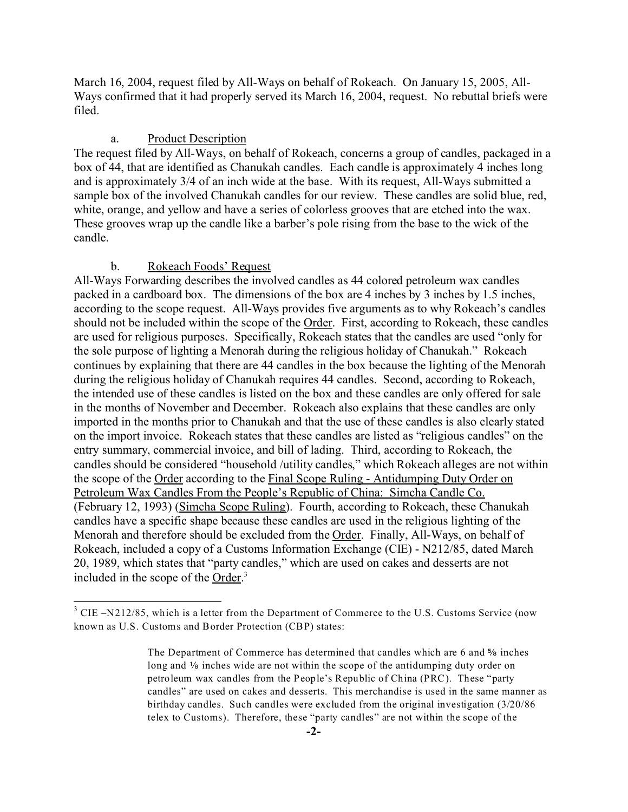March 16, 2004, request filed by All-Ways on behalf of Rokeach. On January 15, 2005, All-Ways confirmed that it had properly served its March 16, 2004, request. No rebuttal briefs were filed.

#### a. Product Description

The request filed by All-Ways, on behalf of Rokeach, concerns a group of candles, packaged in a box of 44, that are identified as Chanukah candles. Each candle is approximately 4 inches long and is approximately 3/4 of an inch wide at the base. With its request, All-Ways submitted a sample box of the involved Chanukah candles for our review. These candles are solid blue, red, white, orange, and yellow and have a series of colorless grooves that are etched into the wax. These grooves wrap up the candle like a barber's pole rising from the base to the wick of the candle.

#### b. Rokeach Foods' Request

All-Ways Forwarding describes the involved candles as 44 colored petroleum wax candles packed in a cardboard box. The dimensions of the box are 4 inches by 3 inches by 1.5 inches, according to the scope request. All-Ways provides five arguments as to why Rokeach's candles should not be included within the scope of the Order. First, according to Rokeach, these candles are used for religious purposes. Specifically, Rokeach states that the candles are used "only for the sole purpose of lighting a Menorah during the religious holiday of Chanukah." Rokeach continues by explaining that there are 44 candles in the box because the lighting of the Menorah during the religious holiday of Chanukah requires 44 candles. Second, according to Rokeach, the intended use of these candles is listed on the box and these candles are only offered for sale in the months of November and December. Rokeach also explains that these candles are only imported in the months prior to Chanukah and that the use of these candles is also clearly stated on the import invoice. Rokeach states that these candles are listed as "religious candles" on the entry summary, commercial invoice, and bill of lading. Third, according to Rokeach, the candles should be considered "household /utility candles," which Rokeach alleges are not within the scope of the Order according to the Final Scope Ruling - Antidumping Duty Order on Petroleum Wax Candles From the People's Republic of China: Simcha Candle Co. (February 12, 1993) (Simcha Scope Ruling). Fourth, according to Rokeach, these Chanukah candles have a specific shape because these candles are used in the religious lighting of the Menorah and therefore should be excluded from the Order. Finally, All-Ways, on behalf of Rokeach, included a copy of a Customs Information Exchange (CIE) - N212/85, dated March 20, 1989, which states that "party candles," which are used on cakes and desserts are not included in the scope of the Order.<sup>3</sup>

<sup>&</sup>lt;sup>3</sup> CIE –N212/85, which is a letter from the Department of Commerce to the U.S. Customs Service (now known as U.S. Customs and Border Protection (CBP) states:

The Department of Commerce has determined that candles which are 6 and  $\frac{5}{6}$  inches long and  $\frac{1}{6}$  inches wide are not within the scope of the antidumping duty order on petroleum wax candles from the People's Republic of China (PRC). These "party candles" are used on cakes and desserts. This merchandise is used in the same manner as birthday candles. Such candles were excluded from the original investigation (3/20/86 telex to Customs). Therefore, these "party candles" are not within the scope of the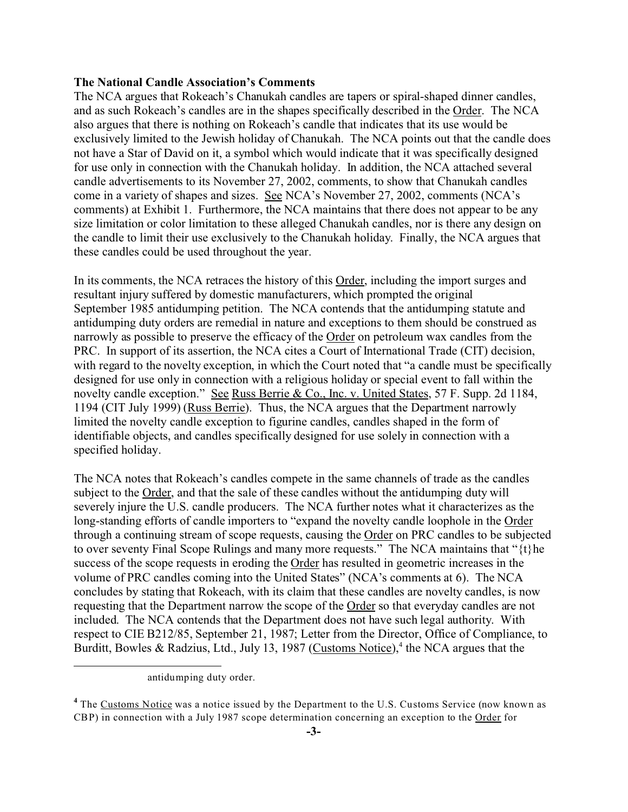# **The National Candle Association's Comments**

The NCA argues that Rokeach's Chanukah candles are tapers or spiral-shaped dinner candles, and as such Rokeach's candles are in the shapes specifically described in the Order. The NCA also argues that there is nothing on Rokeach's candle that indicates that its use would be exclusively limited to the Jewish holiday of Chanukah. The NCA points out that the candle does not have a Star of David on it, a symbol which would indicate that it was specifically designed for use only in connection with the Chanukah holiday. In addition, the NCA attached several candle advertisements to its November 27, 2002, comments, to show that Chanukah candles come in a variety of shapes and sizes. See NCA's November 27, 2002, comments (NCA's comments) at Exhibit 1. Furthermore, the NCA maintains that there does not appear to be any size limitation or color limitation to these alleged Chanukah candles, nor is there any design on the candle to limit their use exclusively to the Chanukah holiday. Finally, the NCA argues that these candles could be used throughout the year.

In its comments, the NCA retraces the history of this Order, including the import surges and resultant injury suffered by domestic manufacturers, which prompted the original September 1985 antidumping petition. The NCA contends that the antidumping statute and antidumping duty orders are remedial in nature and exceptions to them should be construed as narrowly as possible to preserve the efficacy of the Order on petroleum wax candles from the PRC. In support of its assertion, the NCA cites a Court of International Trade (CIT) decision, with regard to the novelty exception, in which the Court noted that "a candle must be specifically designed for use only in connection with a religious holiday or special event to fall within the novelty candle exception." See Russ Berrie & Co., Inc. v. United States, 57 F. Supp. 2d 1184, 1194 (CIT July 1999) (Russ Berrie). Thus, the NCA argues that the Department narrowly limited the novelty candle exception to figurine candles, candles shaped in the form of identifiable objects, and candles specifically designed for use solely in connection with a specified holiday.

The NCA notes that Rokeach's candles compete in the same channels of trade as the candles subject to the Order, and that the sale of these candles without the antidumping duty will severely injure the U.S. candle producers. The NCA further notes what it characterizes as the long-standing efforts of candle importers to "expand the novelty candle loophole in the Order through a continuing stream of scope requests, causing the Order on PRC candles to be subjected to over seventy Final Scope Rulings and many more requests." The NCA maintains that "{t}he success of the scope requests in eroding the Order has resulted in geometric increases in the volume of PRC candles coming into the United States" (NCA's comments at 6). The NCA concludes by stating that Rokeach, with its claim that these candles are novelty candles, is now requesting that the Department narrow the scope of the Order so that everyday candles are not included. The NCA contends that the Department does not have such legal authority. With respect to CIE B212/85, September 21, 1987; Letter from the Director, Office of Compliance, to Burditt, Bowles & Radzius, Ltd., July 13, 1987 (Customs Notice),<sup>4</sup> the NCA argues that the

antidumping duty order.

<sup>&</sup>lt;sup>4</sup> The Customs Notice was a notice issued by the Department to the U.S. Customs Service (now known as CBP) in connection with a July 1987 scope determination concerning an exception to the Order for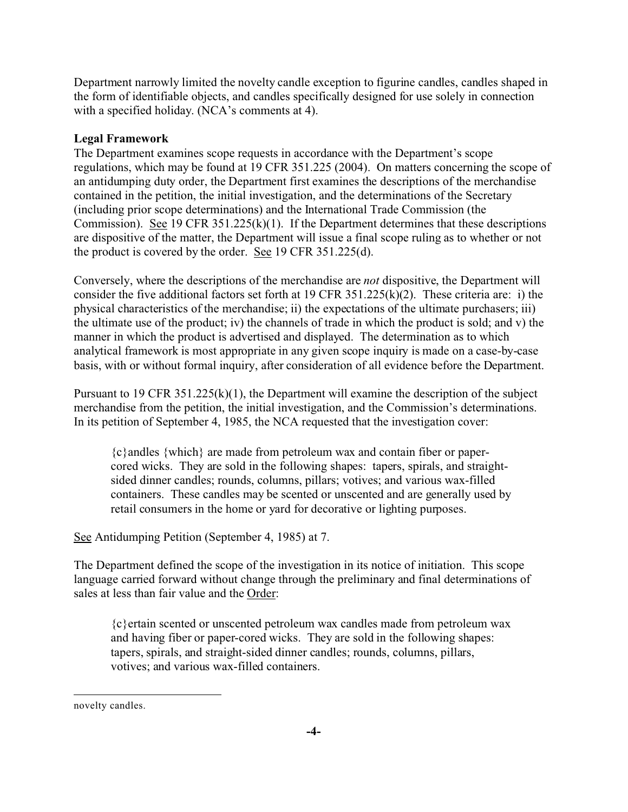Department narrowly limited the novelty candle exception to figurine candles, candles shaped in the form of identifiable objects, and candles specifically designed for use solely in connection with a specified holiday. (NCA's comments at 4).

# **Legal Framework**

The Department examines scope requests in accordance with the Department's scope regulations, which may be found at 19 CFR 351.225 (2004). On matters concerning the scope of an antidumping duty order, the Department first examines the descriptions of the merchandise contained in the petition, the initial investigation, and the determinations of the Secretary (including prior scope determinations) and the International Trade Commission (the Commission). See 19 CFR 351.225(k)(1). If the Department determines that these descriptions are dispositive of the matter, the Department will issue a final scope ruling as to whether or not the product is covered by the order. See 19 CFR 351.225(d).

Conversely, where the descriptions of the merchandise are *not* dispositive, the Department will consider the five additional factors set forth at 19 CFR 351.225(k)(2). These criteria are: i) the physical characteristics of the merchandise; ii) the expectations of the ultimate purchasers; iii) the ultimate use of the product; iv) the channels of trade in which the product is sold; and v) the manner in which the product is advertised and displayed. The determination as to which analytical framework is most appropriate in any given scope inquiry is made on a case-by-case basis, with or without formal inquiry, after consideration of all evidence before the Department.

Pursuant to 19 CFR 351.225(k)(1), the Department will examine the description of the subject merchandise from the petition, the initial investigation, and the Commission's determinations. In its petition of September 4, 1985, the NCA requested that the investigation cover:

{c}andles {which} are made from petroleum wax and contain fiber or papercored wicks. They are sold in the following shapes: tapers, spirals, and straightsided dinner candles; rounds, columns, pillars; votives; and various wax-filled containers. These candles may be scented or unscented and are generally used by retail consumers in the home or yard for decorative or lighting purposes.

See Antidumping Petition (September 4, 1985) at 7.

The Department defined the scope of the investigation in its notice of initiation. This scope language carried forward without change through the preliminary and final determinations of sales at less than fair value and the Order:

{c}ertain scented or unscented petroleum wax candles made from petroleum wax and having fiber or paper-cored wicks. They are sold in the following shapes: tapers, spirals, and straight-sided dinner candles; rounds, columns, pillars, votives; and various wax-filled containers.

novelty candles.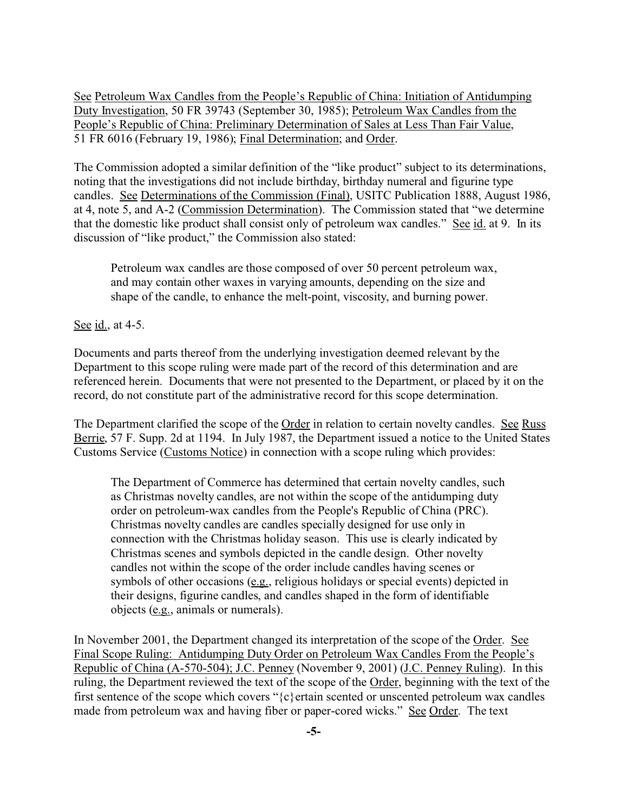See Petroleum Wax Candles from the People's Republic of China: Initiation of Antidumping Duty Investigation, 50 FR 39743 (September 30, 1985); Petroleum Wax Candles from the People's Republic of China: Preliminary Determination of Sales at Less Than Fair Value, 51 FR 6016 (February 19, 1986); Final Determination; and Order.

The Commission adopted a similar definition of the "like product" subject to its determinations, noting that the investigations did not include birthday, birthday numeral and figurine type candles. See Determinations of the Commission (Final), USITC Publication 1888, August 1986, at 4, note 5, and A-2 (Commission Determination). The Commission stated that "we determine that the domestic like product shall consist only of petroleum wax candles." See id. at 9. In its discussion of "like product," the Commission also stated:

Petroleum wax candles are those composed of over 50 percent petroleum wax, and may contain other waxes in varying amounts, depending on the size and shape of the candle, to enhance the melt-point, viscosity, and burning power.

See <u>id.</u>, at 4-5.

Documents and parts thereof from the underlying investigation deemed relevant by the Department to this scope ruling were made part of the record of this determination and are referenced herein. Documents that were not presented to the Department, or placed by it on the record, do not constitute part of the administrative record for this scope determination.

The Department clarified the scope of the Order in relation to certain novelty candles. See Russ Berrie, 57 F. Supp. 2d at 1194. In July 1987, the Department issued a notice to the United States Customs Service (Customs Notice) in connection with a scope ruling which provides:

The Department of Commerce has determined that certain novelty candles, such as Christmas novelty candles, are not within the scope of the antidumping duty order on petroleum-wax candles from the People's Republic of China (PRC). Christmas novelty candles are candles specially designed for use only in connection with the Christmas holiday season. This use is clearly indicated by Christmas scenes and symbols depicted in the candle design. Other novelty candles not within the scope of the order include candles having scenes or symbols of other occasions (e.g., religious holidays or special events) depicted in their designs, figurine candles, and candles shaped in the form of identifiable objects (e.g., animals or numerals).

In November 2001, the Department changed its interpretation of the scope of the Order. See Final Scope Ruling: Antidumping Duty Order on Petroleum Wax Candles From the People's Republic of China (A-570-504); J.C. Penney (November 9, 2001) (J.C. Penney Ruling). In this ruling, the Department reviewed the text of the scope of the Order, beginning with the text of the first sentence of the scope which covers " $\{c\}$  ertain scented or unscented petroleum wax candles made from petroleum wax and having fiber or paper-cored wicks." See Order. The text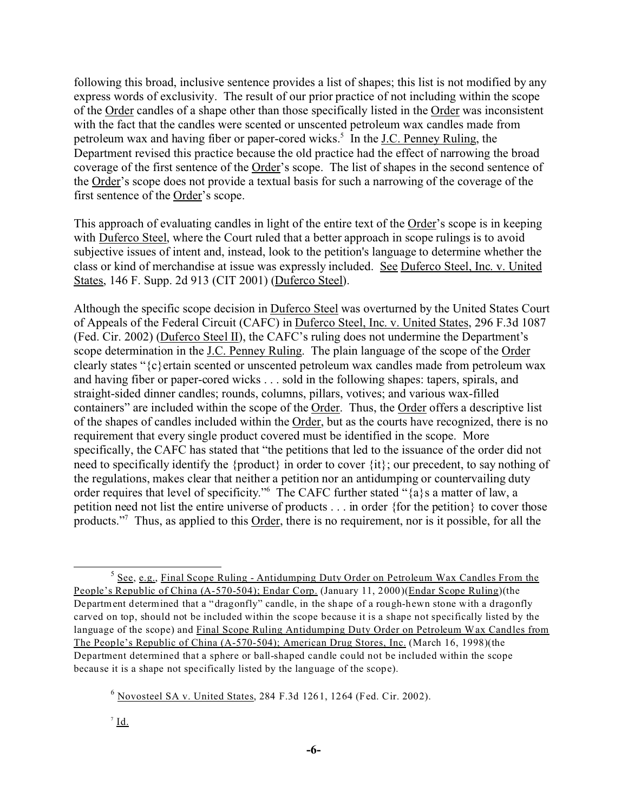following this broad, inclusive sentence provides a list of shapes; this list is not modified by any express words of exclusivity. The result of our prior practice of not including within the scope of the Order candles of a shape other than those specifically listed in the Order was inconsistent with the fact that the candles were scented or unscented petroleum wax candles made from petroleum wax and having fiber or paper-cored wicks.<sup>5</sup> In the J.C. Penney Ruling, the Department revised this practice because the old practice had the effect of narrowing the broad coverage of the first sentence of the Order's scope. The list of shapes in the second sentence of the Order's scope does not provide a textual basis for such a narrowing of the coverage of the first sentence of the Order's scope.

This approach of evaluating candles in light of the entire text of the Order's scope is in keeping with Duferco Steel, where the Court ruled that a better approach in scope rulings is to avoid subjective issues of intent and, instead, look to the petition's language to determine whether the class or kind of merchandise at issue was expressly included. See Duferco Steel, Inc. v. United States, 146 F. Supp. 2d 913 (CIT 2001) (Duferco Steel).

Although the specific scope decision in Duferco Steel was overturned by the United States Court of Appeals of the Federal Circuit (CAFC) in Duferco Steel, Inc. v. United States, 296 F.3d 1087 (Fed. Cir. 2002) (Duferco Steel II), the CAFC's ruling does not undermine the Department's scope determination in the J.C. Penney Ruling. The plain language of the scope of the Order clearly states "{c}ertain scented or unscented petroleum wax candles made from petroleum wax and having fiber or paper-cored wicks . . . sold in the following shapes: tapers, spirals, and straight-sided dinner candles; rounds, columns, pillars, votives; and various wax-filled containers" are included within the scope of the Order. Thus, the Order offers a descriptive list of the shapes of candles included within the Order, but as the courts have recognized, there is no requirement that every single product covered must be identified in the scope. More specifically, the CAFC has stated that "the petitions that led to the issuance of the order did not need to specifically identify the {product} in order to cover {it}; our precedent, to say nothing of the regulations, makes clear that neither a petition nor an antidumping or countervailing duty order requires that level of specificity." The CAFC further stated "{a}s a matter of law, a petition need not list the entire universe of products . . . in order {for the petition} to cover those products."<sup>7</sup> Thus, as applied to this Order, there is no requirement, nor is it possible, for all the

<sup>&</sup>lt;sup>5</sup> See, e.g., Final Scope Ruling - Antidumping Duty Order on Petroleum Wax Candles From the People's Republic of China (A-570-504); Endar Corp. (January 11, 2000)(Endar Scope Ruling)(the Department determined that a "dragonfly" candle, in the shape of a rough-hewn stone with a dragonfly carved on top, should not be included within the scope because it is a shape not specifically listed by the language of the scope) and Final Scope Ruling Antidumping Duty Order on Petroleum Wax Candles from The People's Republic of China (A-570-504); American Drug Stores, Inc. (March 16, 1998)(the Department determined that a sphere or ball-shaped candle could not be included within the scope because it is a shape not specifically listed by the language of the scope).

 $6$  Novosteel SA v. United States, 284 F.3d 1261, 1264 (Fed. Cir. 2002).

 $^7$  Id.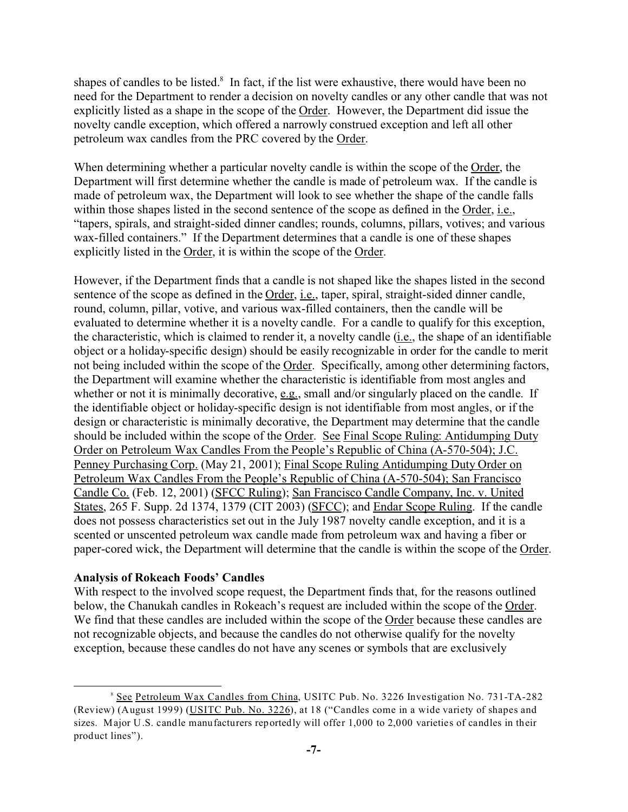shapes of candles to be listed.<sup>8</sup> In fact, if the list were exhaustive, there would have been no need for the Department to render a decision on novelty candles or any other candle that was not explicitly listed as a shape in the scope of the Order. However, the Department did issue the novelty candle exception, which offered a narrowly construed exception and left all other petroleum wax candles from the PRC covered by the Order.

When determining whether a particular novelty candle is within the scope of the Order, the Department will first determine whether the candle is made of petroleum wax. If the candle is made of petroleum wax, the Department will look to see whether the shape of the candle falls within those shapes listed in the second sentence of the scope as defined in the Order, i.e., "tapers, spirals, and straight-sided dinner candles; rounds, columns, pillars, votives; and various wax-filled containers." If the Department determines that a candle is one of these shapes explicitly listed in the Order, it is within the scope of the Order.

However, if the Department finds that a candle is not shaped like the shapes listed in the second sentence of the scope as defined in the Order, i.e., taper, spiral, straight-sided dinner candle, round, column, pillar, votive, and various wax-filled containers, then the candle will be evaluated to determine whether it is a novelty candle. For a candle to qualify for this exception, the characteristic, which is claimed to render it, a novelty candle (i.e., the shape of an identifiable object or a holiday-specific design) should be easily recognizable in order for the candle to merit not being included within the scope of the Order. Specifically, among other determining factors, the Department will examine whether the characteristic is identifiable from most angles and whether or not it is minimally decorative, e.g., small and/or singularly placed on the candle. If the identifiable object or holiday-specific design is not identifiable from most angles, or if the design or characteristic is minimally decorative, the Department may determine that the candle should be included within the scope of the Order. See Final Scope Ruling: Antidumping Duty Order on Petroleum Wax Candles From the People's Republic of China (A-570-504); J.C. Penney Purchasing Corp. (May 21, 2001); Final Scope Ruling Antidumping Duty Order on Petroleum Wax Candles From the People's Republic of China (A-570-504); San Francisco Candle Co. (Feb. 12, 2001) (SFCC Ruling); San Francisco Candle Company, Inc. v. United States, 265 F. Supp. 2d 1374, 1379 (CIT 2003) (SFCC); and Endar Scope Ruling. If the candle does not possess characteristics set out in the July 1987 novelty candle exception, and it is a scented or unscented petroleum wax candle made from petroleum wax and having a fiber or paper-cored wick, the Department will determine that the candle is within the scope of the Order.

#### **Analysis of Rokeach Foods' Candles**

With respect to the involved scope request, the Department finds that, for the reasons outlined below, the Chanukah candles in Rokeach's request are included within the scope of the Order. We find that these candles are included within the scope of the Order because these candles are not recognizable objects, and because the candles do not otherwise qualify for the novelty exception, because these candles do not have any scenes or symbols that are exclusively

<sup>&</sup>lt;sup>8</sup> See Petroleum Wax Candles from China, USITC Pub. No. 3226 Investigation No. 731-TA-282 (Review) (August 1999) (USITC Pub. No. 3226), at 18 ("Candles come in a wide variety of shapes and sizes. Major U.S. candle manufacturers reportedly will offer 1,000 to 2,000 varieties of candles in their product lines").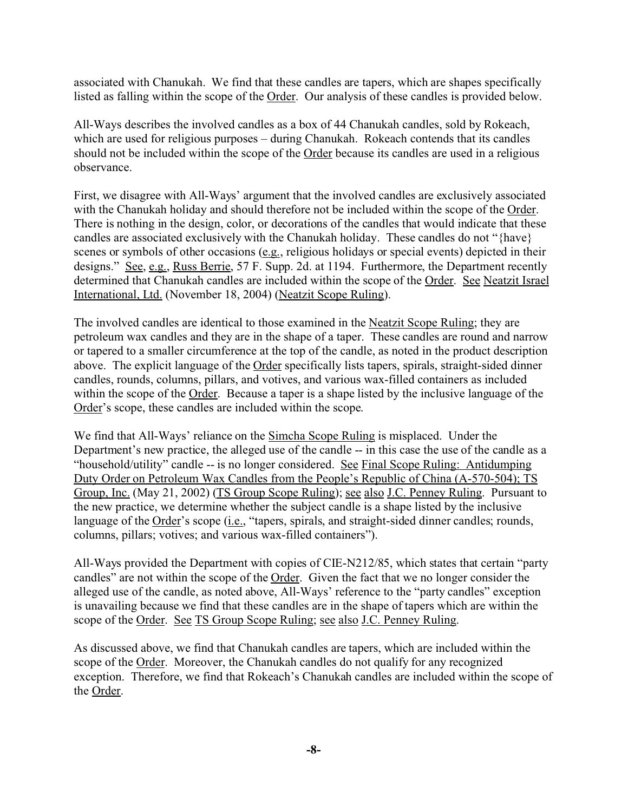associated with Chanukah. We find that these candles are tapers, which are shapes specifically listed as falling within the scope of the Order. Our analysis of these candles is provided below.

All-Ways describes the involved candles as a box of 44 Chanukah candles, sold by Rokeach, which are used for religious purposes – during Chanukah. Rokeach contends that its candles should not be included within the scope of the Order because its candles are used in a religious observance.

First, we disagree with All-Ways' argument that the involved candles are exclusively associated with the Chanukah holiday and should therefore not be included within the scope of the Order. There is nothing in the design, color, or decorations of the candles that would indicate that these candles are associated exclusively with the Chanukah holiday. These candles do not "{have} scenes or symbols of other occasions (e.g., religious holidays or special events) depicted in their designs." See, e.g., Russ Berrie, 57 F. Supp. 2d. at 1194. Furthermore, the Department recently determined that Chanukah candles are included within the scope of the Order. See Neatzit Israel International, Ltd. (November 18, 2004) (Neatzit Scope Ruling).

The involved candles are identical to those examined in the Neatzit Scope Ruling; they are petroleum wax candles and they are in the shape of a taper. These candles are round and narrow or tapered to a smaller circumference at the top of the candle, as noted in the product description above. The explicit language of the Order specifically lists tapers, spirals, straight-sided dinner candles, rounds, columns, pillars, and votives, and various wax-filled containers as included within the scope of the Order. Because a taper is a shape listed by the inclusive language of the Order's scope, these candles are included within the scope.

We find that All-Ways' reliance on the Simcha Scope Ruling is misplaced. Under the Department's new practice, the alleged use of the candle -- in this case the use of the candle as a "household/utility" candle -- is no longer considered. See Final Scope Ruling: Antidumping Duty Order on Petroleum Wax Candles from the People's Republic of China (A-570-504); TS Group, Inc. (May 21, 2002) (TS Group Scope Ruling); see also J.C. Penney Ruling. Pursuant to the new practice, we determine whether the subject candle is a shape listed by the inclusive language of the Order's scope (i.e., "tapers, spirals, and straight-sided dinner candles; rounds, columns, pillars; votives; and various wax-filled containers").

All-Ways provided the Department with copies of CIE-N212/85, which states that certain "party candles" are not within the scope of the Order. Given the fact that we no longer consider the alleged use of the candle, as noted above, All-Ways' reference to the "party candles" exception is unavailing because we find that these candles are in the shape of tapers which are within the scope of the Order. See TS Group Scope Ruling; see also J.C. Penney Ruling.

As discussed above, we find that Chanukah candles are tapers, which are included within the scope of the Order. Moreover, the Chanukah candles do not qualify for any recognized exception. Therefore, we find that Rokeach's Chanukah candles are included within the scope of the Order.